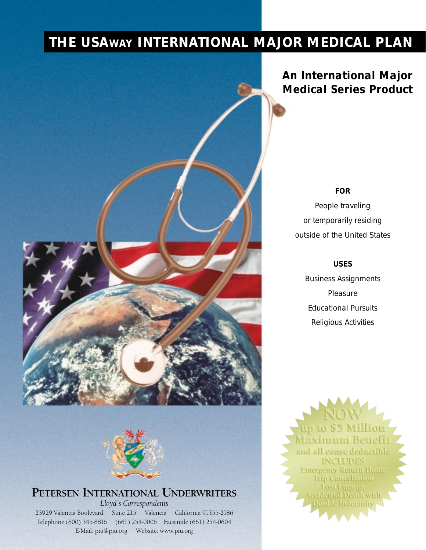# **THE USAWAY INTERNATIONAL MAJOR MEDICAL PLAN**





# **PETERSEN INTERNATIONAL UNDERWRITERS**

*Lloyd's Correspondents*

23929 Valencia Boulevard Suite 215 Valencia California 91355-2186 Telephone (800) 345-8816 (661) 254-0006 Facsimile (661) 254-0604 E-Mail: piu@piu.org Website: www.piu.org

*An International Major Medical Series Product*

#### *FOR*

*People traveling or temporarily residing outside of the United States*

*USES*

*Business Assignments Pleasure Educational Pursuits Religious Activities*

ur to \$5 Million Maximum Benefi and all cause deductible **INCLUDES Emergency Return Home Trip Cancellation** Lost Luggage<br>Accidental Death with Double Indemnity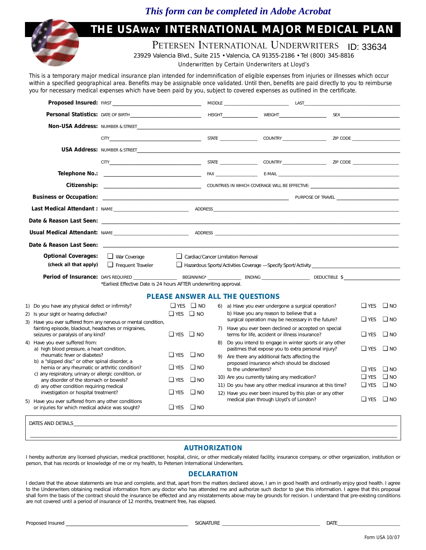### *This form can be completed in Adobe Acrobat*

# **THE USAWAY INTERNATIONAL MAJOR MEDICAL PLAN**

PETERSEN INTERNATIONAL UNDERWRITERS **ID: 33634** 

23929 Valencia Blvd., Suite 215 • Valencia, CA 91355-2186 • Tel (800) 345-8816

*Underwritten by Certain Underwriters at Lloyd's* 

*This is a temporary major medical insurance plan intended for indemnification of eligible expenses from injuries or illnesses which occur within a specified geographical area. Benefits may be assignable once validated. Until then, benefits are paid directly to you to reimburse you for necessary medical expenses which have been paid by you, subject to covered expenses as outlined in the certificate.*

|                                                                                                                                                                                                       | <b>Proposed Insured: FIRST NET</b>                                |                      |                      |  | MIDDLE LAST LAST CONTRACT CONTRACT CONTRACT CONTRACT CONTRACT CONTRACT CONTRACT CONTRACT CONTRACT CONTRACT CONTRACT CONTRACT CONTRACT CONTRACT CONTRACT CONTRACT CONTRACT CONTRACT CONTRACT CONTRACT CONTRACT CONTRACT CONTRAC |  |                          |                              |  |
|-------------------------------------------------------------------------------------------------------------------------------------------------------------------------------------------------------|-------------------------------------------------------------------|----------------------|----------------------|--|--------------------------------------------------------------------------------------------------------------------------------------------------------------------------------------------------------------------------------|--|--------------------------|------------------------------|--|
|                                                                                                                                                                                                       |                                                                   |                      |                      |  |                                                                                                                                                                                                                                |  |                          |                              |  |
|                                                                                                                                                                                                       |                                                                   |                      |                      |  |                                                                                                                                                                                                                                |  |                          |                              |  |
|                                                                                                                                                                                                       |                                                                   |                      |                      |  | CITY CITY COUNTRY COUNTRY THE COUNTRY STATE COUNTRY THE COUNTRY STATE COUNTRY STATE ON THE COUNTRY OF THE COUNTRY OF THE COUNTRY OF THE COUNTRY OF THE COUNTRY OF THE COUNTRY OF THE COUNTRY OF THE COUNTRY OF THE COUNTRY OF  |  |                          |                              |  |
|                                                                                                                                                                                                       |                                                                   |                      |                      |  |                                                                                                                                                                                                                                |  |                          |                              |  |
|                                                                                                                                                                                                       |                                                                   |                      |                      |  |                                                                                                                                                                                                                                |  |                          |                              |  |
|                                                                                                                                                                                                       |                                                                   |                      |                      |  |                                                                                                                                                                                                                                |  |                          |                              |  |
|                                                                                                                                                                                                       |                                                                   |                      |                      |  |                                                                                                                                                                                                                                |  |                          |                              |  |
|                                                                                                                                                                                                       |                                                                   |                      |                      |  |                                                                                                                                                                                                                                |  |                          |                              |  |
|                                                                                                                                                                                                       |                                                                   |                      |                      |  |                                                                                                                                                                                                                                |  |                          |                              |  |
|                                                                                                                                                                                                       |                                                                   |                      |                      |  |                                                                                                                                                                                                                                |  |                          |                              |  |
| <b>Usual Medical Attendant:</b> NAME <b>According to ADDRESS</b> ADDRESS AND ARRAIGNMENT CONTINUES.                                                                                                   |                                                                   |                      |                      |  |                                                                                                                                                                                                                                |  |                          |                              |  |
|                                                                                                                                                                                                       |                                                                   |                      |                      |  |                                                                                                                                                                                                                                |  |                          |                              |  |
| <b>Optional Coverages:</b><br>(check all that apply)                                                                                                                                                  | $\Box$ War Coverage<br>$\Box$ Frequent Traveler                   |                      |                      |  | Cardiac/Cancer Limitation Removal                                                                                                                                                                                              |  |                          |                              |  |
|                                                                                                                                                                                                       | *Earliest Effective Date is 24 hours AFTER underwriting approval. |                      |                      |  |                                                                                                                                                                                                                                |  |                          |                              |  |
| <b>PLEASE ANSWER ALL THE QUESTIONS</b>                                                                                                                                                                |                                                                   |                      |                      |  |                                                                                                                                                                                                                                |  |                          |                              |  |
| 1) Do you have any physical defect or infirmity?                                                                                                                                                      |                                                                   |                      | $\Box$ YES $\Box$ NO |  | 6) a) Have you ever undergone a surgical operation?                                                                                                                                                                            |  | $\Box$ YES               | $\Box$ NO                    |  |
| 2) Is your sight or hearing defective?<br>3) Have you ever suffered from any nervous or mental condition,                                                                                             |                                                                   |                      | $\Box$ YES $\Box$ NO |  | b) Have you any reason to believe that a<br>surgical operation may be necessary in the future?                                                                                                                                 |  | $\Box$ YES               | $\square$ NO                 |  |
| fainting episode, blackout, headaches or migraines,<br>seizures or paralysis of any kind?                                                                                                             |                                                                   | $\Box$ YES $\Box$ NO |                      |  | 7) Have you ever been declined or accepted on special<br>terms for life, accident or illness insurance?                                                                                                                        |  | $\Box$ YES               | $\square$ NO                 |  |
| 4) Have you ever suffered from:                                                                                                                                                                       |                                                                   |                      |                      |  | Do you intend to engage in winter sports or any other<br>pastimes that expose you to extra personal injury?                                                                                                                    |  | $\Box$ YES               | $\square$ NO                 |  |
| a) high blood pressure, a heart condition,<br>rheumatic fever or diabetes?                                                                                                                            |                                                                   | $\Box$ YES           | $\square$ NO         |  | 9) Are there any additional facts affecting the                                                                                                                                                                                |  |                          |                              |  |
| b) a "slipped disc" or other spinal disorder, a<br>hernia or any rheumatic or arthritic condition?<br>c) any respiratory, urinary or allergic condition, or<br>any disorder of the stomach or bowels? |                                                                   | $\Box$ YES           | $\square$ NO         |  | proposed insurance which should be disclosed<br>to the underwriters?                                                                                                                                                           |  | $\Box$ YES               | $\square$ NO                 |  |
|                                                                                                                                                                                                       |                                                                   | $\Box$ YES           | $\square$ NO         |  | 10) Are you currently taking any medication?                                                                                                                                                                                   |  | $\Box$ YES<br>$\Box$ YES | $\square$ NO<br>$\square$ NO |  |
| d) any other condition requiring medical<br>investigation or hospital treatment?                                                                                                                      |                                                                   | $\Box$ YES           | $\square$ NO         |  | 11) Do you have any other medical insurance at this time?<br>12) Have you ever been insured by this plan or any other                                                                                                          |  |                          |                              |  |
| 5) Have you ever suffered from any other conditions<br>or injuries for which medical advice was sought?                                                                                               |                                                                   | $\Box$ YES           | $\square$ NO         |  | medical plan through Lloyd's of London?                                                                                                                                                                                        |  | $\Box$ YES               | $\square$ NO                 |  |
| DATES AND DETAILS                                                                                                                                                                                     |                                                                   |                      |                      |  |                                                                                                                                                                                                                                |  |                          |                              |  |
|                                                                                                                                                                                                       |                                                                   |                      |                      |  |                                                                                                                                                                                                                                |  |                          |                              |  |

### \_\_\_\_\_\_\_\_\_\_\_\_\_\_\_\_\_\_\_\_\_\_\_\_\_\_\_\_\_\_\_\_\_\_\_\_\_\_\_\_\_\_\_\_\_\_\_\_\_\_\_\_\_\_\_\_\_\_\_\_\_\_\_\_\_\_\_\_\_\_\_\_\_\_\_\_\_\_\_\_\_\_\_\_\_\_\_\_\_\_\_\_\_\_\_\_\_\_\_\_\_\_\_\_\_\_\_\_\_\_\_\_\_\_\_\_\_\_\_\_\_\_\_\_\_\_\_\_\_\_\_\_\_\_\_\_\_\_\_\_\_\_\_\_\_\_\_\_\_\_\_\_\_\_\_\_\_\_\_\_ **AUTHORIZATION**

I hereby authorize any licensed physician, medical practitioner, hospital, clinic, or other medically related facility, insurance company, or other organization, institution or person, that has records or knowledge of me or my health, to Petersen International Underwriters.

#### **DECLARATION**

I declare that the above statements are true and complete, and that, apart from the matters declared above, I am in good health and ordinarily enjoy good health. I agree to the Underwriters obtaining medical information from any doctor who has attended me and authorize such doctor to give this information. I agree that this proposal shall form the basis of the contract should the insurance be effected and any misstatements above may be grounds for recision. I understand that pre-existing conditions are not covered until a period of insurance of 12 months, treatment free, has elapsed.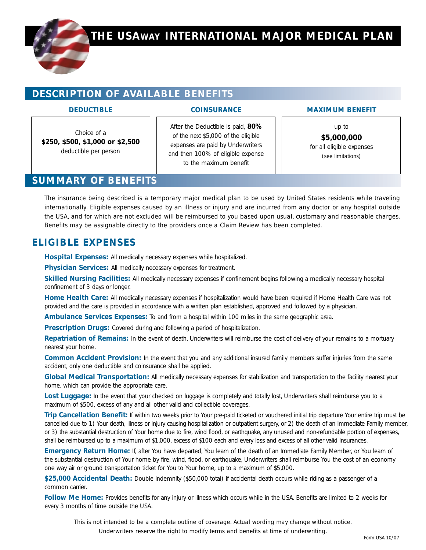

# **DESCRIPTION OF AVAILABLE BENEFITS**

#### **DEDUCTIBLE**

#### **COINSURANCE**

Choice of a **\$250, \$500, \$1,000 or \$2,500** deductible per person

After the Deductible is paid, **80%** of the next \$5,000 of the eligible expenses are paid by Underwriters and then 100% of eligible expense to the maximum benefit

**MAXIMUM BENEFIT**

up to **\$5,000,000** for all eligible expenses *(see limitations)*

## **SUMMARY OF BENEFITS**

*The insurance being described is a temporary major medical plan to be used by United States residents while traveling internationally. Eligible expenses caused by an illness or injury and are incurred from any doctor or any hospital outside the USA, and for which are not excluded will be reimbursed to you based upon usual, customary and reasonable charges. Benefits may be assignable directly to the providers once a Claim Review has been completed.*

# **ELIGIBLE EXPENSES**

**Hospital Expenses:** All medically necessary expenses while hospitalized.

**Physician Services:** All medically necessary expenses for treatment.

**Skilled Nursing Facilities:** All medically necessary expenses if confinement begins following a medically necessary hospital confinement of 3 days or longer.

**Home Health Care:** All medically necessary expenses if hospitalization would have been required if Home Health Care was not provided and the care is provided in accordance with a written plan established, approved and followed by a physician.

**Ambulance Services Expenses:** To and from a hospital within 100 miles in the same geographic area.

**Prescription Drugs:** Covered during and following a period of hospitalization.

**Repatriation of Remains:** In the event of death, Underwriters will reimburse the cost of delivery of your remains to a mortuary nearest your home.

**Common Accident Provision:** In the event that you and any additional insured family members suffer injuries from the same accident, only one deductible and coinsurance shall be applied.

**Global Medical Transportation:** All medically necessary expenses for stabilization and transportation to the facility nearest your home, which can provide the appropriate care.

Lost Luggage: In the event that your checked on luggage is completely and totally lost, Underwriters shall reimburse you to a maximum of \$500, excess of any and all other valid and collectible coverages.

**Trip Cancellation Benefit:** If within two weeks prior to Your pre-paid ticketed or vouchered initial trip departure Your entire trip must be cancelled due to 1) Your death, illness or injury causing hospitalization or outpatient surgery, or 2) the death of an Immediate Family member, or 3) the substantial destruction of Your home due to fire, wind flood, or earthquake, any unused and non-refundable portion of expenses, shall be reimbursed up to a maximum of \$1,000, excess of \$100 each and every loss and excess of all other valid Insurances.

**Emergency Return Home:** If, after You have departed, You learn of the death of an Immediate Family Member, or You learn of the substantial destruction of Your home by fire, wind, flood, or earthquake, Underwriters shall reimburse You the cost of an economy one way air or ground transportation ticket for You to Your home, up to a maximum of \$5,000.

\$25,000 Accidental Death: Double indemnity (\$50,000 total) if accidental death occurs while riding as a passenger of a common carrier.

**Follow Me Home:** Provides benefits for any injury or illness which occurs while in the USA. Benefits are limited to 2 weeks for every 3 months of time outside the USA.

*This is not intended to be a complete outline of coverage. Actual wording may change without notice. Underwriters reserve the right to modify terms and benefits at time of underwriting.*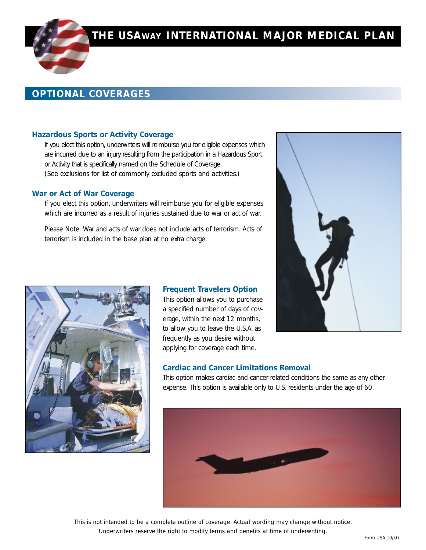# **THE USAWAY INTERNATIONAL MAJOR MEDICAL PLAN**

# **OPTIONAL COVERAGES**

#### **Hazardous Sports or Activity Coverage**

If you elect this option, underwriters will reimburse you for eligible expenses which are incurred due to an injury resulting from the participation in a Hazardous Sport or Activity that is specifically named on the Schedule of Coverage. *(See exclusions for list of commonly excluded sports and activities.)*

#### **War or Act of War Coverage**

If you elect this option, underwriters will reimburse you for eligible expenses which are incurred as a result of injuries sustained due to war or act of war.

Please Note: War and acts of war does not include acts of terrorism. Acts of terrorism is included in the base plan at no extra charge.



#### **Frequent Travelers Option**

This option allows you to purchase a specified number of days of coverage, within the next 12 months, to allow you to leave the U.S.A. as frequently as you desire without applying for coverage each time.



#### **Cardiac and Cancer Limitations Removal**

This option makes cardiac and cancer related conditions the same as any other expense. This option is available only to U.S. residents under the age of 60.



*This is not intended to be a complete outline of coverage. Actual wording may change without notice. Underwriters reserve the right to modify terms and benefits at time of underwriting.*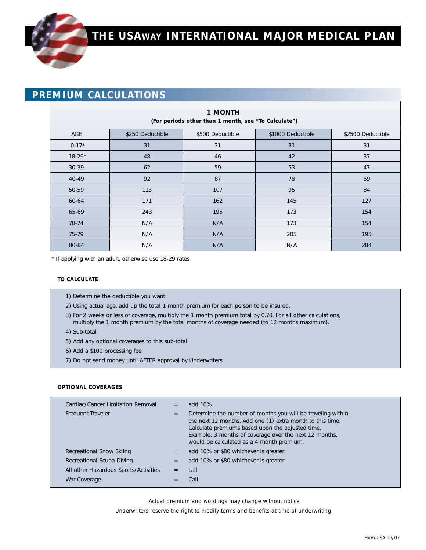# **PREMIUM CALCULATIONS**

| <b>1 MONTH</b><br>(For periods other than 1 month, see "To Calculate") |                  |                  |                   |                   |  |  |  |
|------------------------------------------------------------------------|------------------|------------------|-------------------|-------------------|--|--|--|
| AGE                                                                    | \$250 Deductible | \$500 Deductible | \$1000 Deductible | \$2500 Deductible |  |  |  |
| $0-17*$                                                                | 31               | 31               | 31                | 31                |  |  |  |
| $18-29*$                                                               | 48               | 46               | 42                | 37                |  |  |  |
| 30-39                                                                  | 62               | 59               | 53                | 47                |  |  |  |
| 40-49                                                                  | 92               | 87               | 78                | 69                |  |  |  |
| 50-59                                                                  | 113              | 107              | 95                | 84                |  |  |  |
| 60-64                                                                  | 171              | 162              | 145               | 127               |  |  |  |
| 65-69                                                                  | 243              | 195              | 173               | 154               |  |  |  |
| 70-74                                                                  | N/A              | N/A              | 173               | 154               |  |  |  |
| 75-79                                                                  | N/A              | N/A              | 205               | 195               |  |  |  |
| 80-84                                                                  | N/A              | N/A              | N/A               | 284               |  |  |  |

\* If applying with an adult, otherwise use 18-29 rates

#### **TO CALCULATE**

- 1) Determine the deductible you want.
- 2) Using actual age, add up the total 1 month premium for each person to be insured.
- 3) For 2 weeks or less of coverage, multiply the 1 month premium total by 0.70. For all other calculations, multiply the 1 month premium by the total months of coverage needed (to 12 months maximum).
- 4) Sub-total
- 5) Add any optional coverages to this sub-total
- 6) Add a \$100 processing fee
- 7) Do not send money until AFTER approval by Underwriters

#### **OPTIONAL COVERAGES**

| Cardiac/Cancer Limitation Removal<br>Frequent Traveler | $=$<br>$=$ | add 10%<br>Determine the number of months you will be traveling within<br>the next 12 months. Add one (1) extra month to this time.<br>Calculate premiums based upon the adjusted time.<br>Example: 3 months of coverage over the next 12 months,<br>would be calculated as a 4 month premium. |
|--------------------------------------------------------|------------|------------------------------------------------------------------------------------------------------------------------------------------------------------------------------------------------------------------------------------------------------------------------------------------------|
| Recreational Snow Skiing                               | $=$        | add 10% or \$80 whichever is greater                                                                                                                                                                                                                                                           |
| Recreational Scuba Diving                              | $=$        | add 10% or \$80 whichever is greater                                                                                                                                                                                                                                                           |
| All other Hazardous Sports/Activities                  | $=$        | call                                                                                                                                                                                                                                                                                           |
| War Coverage                                           | $=$        | Call                                                                                                                                                                                                                                                                                           |

*Actual premium and wordings may change without notice* 

*Underwriters reserve the right to modify terms and benefits at time of underwriting*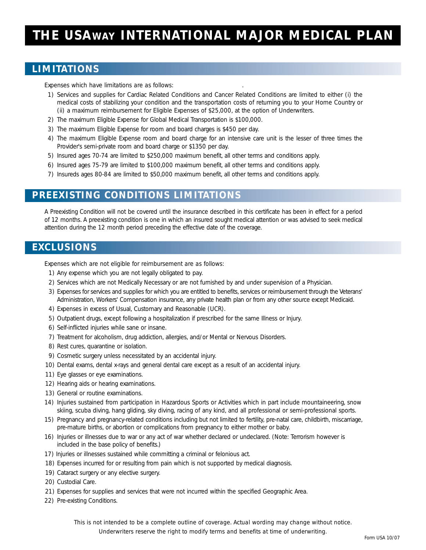# **THE USAWAY INTERNATIONAL MAJOR MEDICAL PLAN**

### **LIMITATIONS**

*Expenses which have limitations are as follows: .*

- 1) Services and supplies for Cardiac Related Conditions and Cancer Related Conditions are limited to either (i) the medical costs of stabilizing your condition and the transportation costs of returning you to your Home Country or (ii) a maximum reimbursement for Eligible Expenses of \$25,000, at the option of Underwriters.
- 2) The maximum Eligible Expense for Global Medical Transportation is \$100,000.
- 3) The maximum Eligible Expense for room and board charges is \$450 per day.
- 4) The maximum Eligible Expense room and board charge for an intensive care unit is the lesser of three times the Provider's semi-private room and board charge or \$1350 per day.
- 5) Insured ages 70-74 are limited to \$250,000 maximum benefit, all other terms and conditions apply.
- 6) Insured ages 75-79 are limited to \$100,000 maximum benefit, all other terms and conditions apply.
- 7) Insureds ages 80-84 are limited to \$50,000 maximum benefit, all other terms and conditions apply.

# **PREEXISTING CONDITIONS LIMITATIONS**

A Preexisting Condition will not be covered until the insurance described in this certificate has been in effect for a period of 12 months. A preexisting condition is one in which an insured sought medical attention or was advised to seek medical attention during the 12 month period preceding the effective date of the coverage.

### **EXCLUSIONS**

*Expenses which are not eligible for reimbursement are as follows:*

- 1) Any expense which you are not legally obligated to pay.
- 2) Services which are not Medically Necessary or are not furnished by and under supervision of a Physician.
- 3) Expenses for services and supplies for which you are entitled to benefits, services or reimbursement through the Veterans' Administration, Workers' Compensation insurance, any private health plan or from any other source except Medicaid.
- 4) Expenses in excess of Usual, Customary and Reasonable (UCR).
- 5) Outpatient drugs, except following a hospitalization if prescribed for the same Illness or Injury.
- 6) Self-inflicted injuries while sane or insane.
- 7) Treatment for alcoholism, drug addiction, allergies, and/or Mental or Nervous Disorders.
- 8) Rest cures, quarantine or isolation.
- 9) Cosmetic surgery unless necessitated by an accidental injury.
- 10) Dental exams, dental x-rays and general dental care except as a result of an accidental injury.
- 11) Eye glasses or eye examinations.
- 12) Hearing aids or hearing examinations.
- 13) General or routine examinations.
- 14) Injuries sustained from participation in Hazardous Sports or Activities which in part include mountaineering, snow skiing, scuba diving, hang gliding, sky diving, racing of any kind, and all professional or semi-professional sports.
- 15) Pregnancy and pregnancy-related conditions including but not limited to fertility, pre-natal care, childbirth, miscarriage, pre-mature births, or abortion or complications from pregnancy to either mother or baby.
- 16) Injuries or illnesses due to war or any act of war whether declared or undeclared. (Note: Terrorism however is included in the base policy of benefits.)
- 17) Injuries or illnesses sustained while committing a criminal or felonious act.
- 18) Expenses incurred for or resulting from pain which is not supported by medical diagnosis.
- 19) Cataract surgery or any elective surgery.
- 20) Custodial Care.
- 21) Expenses for supplies and services that were not incurred within the specified Geographic Area.
- 22) Pre-existing Conditions.

*This is not intended to be a complete outline of coverage. Actual wording may change without notice. Underwriters reserve the right to modify terms and benefits at time of underwriting.*